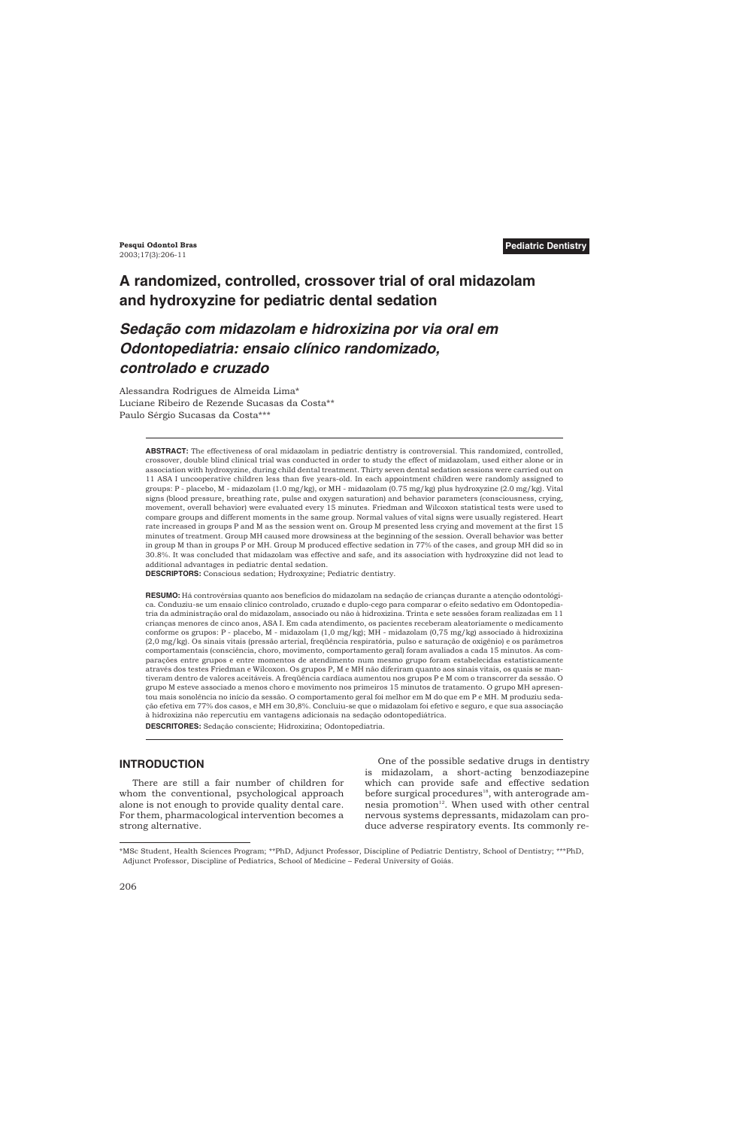# **A randomized, controlled, crossover trial of oral midazolam and hydroxyzine for pediatric dental sedation**

# *Sedação com midazolam e hidroxizina por via oral em Odontopediatria: ensaio clínico randomizado, controlado e cruzado*

Alessandra Rodrigues de Almeida Lima\* Luciane Ribeiro de Rezende Sucasas da Costa\*\* Paulo Sérgio Sucasas da Costa\*\*\*

> **ABSTRACT:** The effectiveness of oral midazolam in pediatric dentistry is controversial. This randomized, controlled, crossover, double blind clinical trial was conducted in order to study the effect of midazolam, used either alone or in association with hydroxyzine, during child dental treatment. Thirty seven dental sedation sessions were carried out on 11 ASA I uncooperative children less than five years-old. In each appointment children were randomly assigned to groups: P - placebo, M - midazolam (1.0 mg/kg), or MH - midazolam (0.75 mg/kg) plus hydroxyzine (2.0 mg/kg). Vital signs (blood pressure, breathing rate, pulse and oxygen saturation) and behavior parameters (consciousness, crying, movement, overall behavior) were evaluated every 15 minutes. Friedman and Wilcoxon statistical tests were used to compare groups and different moments in the same group. Normal values of vital signs were usually registered. Heart rate increased in groups P and M as the session went on. Group M presented less crying and movement at the first 15 minutes of treatment. Group MH caused more drowsiness at the beginning of the session. Overall behavior was better in group M than in groups P or MH. Group M produced effective sedation in 77% of the cases, and group MH did so in 30.8%. It was concluded that midazolam was effective and safe, and its association with hydroxyzine did not lead to additional advantages in pediatric dental sedation.

**DESCRIPTORS:** Conscious sedation; Hydroxyzine; Pediatric dentistry.

**RESUMO:** Há controvérsias quanto aos benefícios do midazolam na sedação de crianças durante a atenção odontológica. Conduziu-se um ensaio clínico controlado, cruzado e duplo-cego para comparar o efeito sedativo em Odontopediatria da administração oral do midazolam, associado ou não à hidroxizina. Trinta e sete sessões foram realizadas em 11 crianças menores de cinco anos, ASA I. Em cada atendimento, os pacientes receberam aleatoriamente o medicamento conforme os grupos: P - placebo, M - midazolam (1,0 mg/kg); MH - midazolam (0,75 mg/kg) associado à hidroxizina (2,0 mg/kg). Os sinais vitais (pressão arterial, freqüência respiratória, pulso e saturação de oxigênio) e os parâmetros comportamentais (consciência, choro, movimento, comportamento geral) foram avaliados a cada 15 minutos. As comparações entre grupos e entre momentos de atendimento num mesmo grupo foram estabelecidas estatisticamente através dos testes Friedman e Wilcoxon. Os grupos P, M e MH não diferiram quanto aos sinais vitais, os quais se mantiveram dentro de valores aceitáveis. A freqüência cardíaca aumentou nos grupos P e M com o transcorrer da sessão. O grupo M esteve associado a menos choro e movimento nos primeiros 15 minutos de tratamento. O grupo MH apresentou mais sonolência no início da sessão. O comportamento geral foi melhor em M do que em P e MH. M produziu sedação efetiva em 77% dos casos, e MH em 30,8%. Concluiu-se que o midazolam foi efetivo e seguro, e que sua associação à hidroxizina não repercutiu em vantagens adicionais na sedação odontopediátrica.

**DESCRITORES:** Sedação consciente; Hidroxizina; Odontopediatria.

## **INTRODUCTION**

There are still a fair number of children for whom the conventional, psychological approach alone is not enough to provide quality dental care. For them, pharmacological intervention becomes a strong alternative.

One of the possible sedative drugs in dentistry is midazolam, a short-acting benzodiazepine which can provide safe and effective sedation before surgical procedures<sup>18</sup>, with anterograde amnesia promotion<sup>12</sup>. When used with other central nervous systems depressants, midazolam can produce adverse respiratory events. Its commonly re-

<sup>\*</sup>MSc Student, Health Sciences Program; \*\*PhD, Adjunct Professor, Discipline of Pediatric Dentistry, School of Dentistry; \*\*\*PhD, Adjunct Professor, Discipline of Pediatrics, School of Medicine – Federal University of Goiás.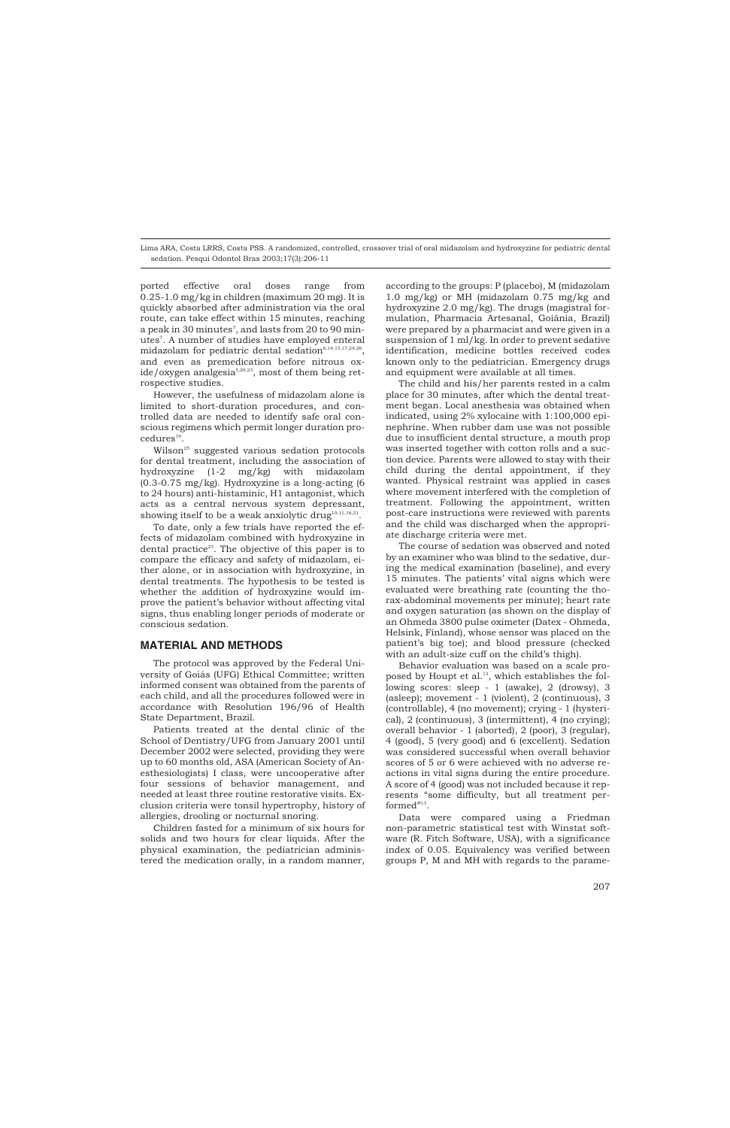ported effective oral doses range from 0.25-1.0 mg/kg in children (maximum 20 mg). It is quickly absorbed after administration via the oral route, can take effect within 15 minutes, reaching a peak in 30 minutes $^{\text{\tiny 3}}$ , and lasts from 20 to 90 minutes7 . A number of studies have employed enteral midazolam for pediatric dental sedation $6,14,15,17,24,26$ , and even as premedication before nitrous oxide/oxygen analgesia<sup>5,20,23</sup>, most of them being retrospective studies.

However, the usefulness of midazolam alone is limited to short-duration procedures, and controlled data are needed to identify safe oral conscious regimens which permit longer duration procedures<sup>19</sup>.

Wilson<sup>25</sup> suggested various sedation protocols for dental treatment, including the association of hydroxyzine (1-2 mg/kg) with midazolam  $(0.3-0.75 \text{ mg/kg})$ . Hydroxyzine is a long-acting  $(6.66 \text{ m})$ to 24 hours) anti-histaminic, H1 antagonist, which acts as a central nervous system depressant, showing itself to be a weak anxiolytic drug<sup>10,11,16,21</sup>.

To date, only a few trials have reported the effects of midazolam combined with hydroxyzine in dental practice<sup>23</sup>. The objective of this paper is to compare the efficacy and safety of midazolam, either alone, or in association with hydroxyzine, in dental treatments. The hypothesis to be tested is whether the addition of hydroxyzine would improve the patient's behavior without affecting vital signs, thus enabling longer periods of moderate or conscious sedation.

## **MATERIAL AND METHODS**

The protocol was approved by the Federal University of Goiás (UFG) Ethical Committee; written informed consent was obtained from the parents of each child, and all the procedures followed were in accordance with Resolution 196/96 of Health State Department, Brazil.

Patients treated at the dental clinic of the School of Dentistry/UFG from January 2001 until December 2002 were selected, providing they were up to 60 months old, ASA (American Society of Anesthesiologists) I class, were uncooperative after four sessions of behavior management, and needed at least three routine restorative visits. Exclusion criteria were tonsil hypertrophy, history of allergies, drooling or nocturnal snoring.

Children fasted for a minimum of six hours for solids and two hours for clear liquids. After the physical examination, the pediatrician administered the medication orally, in a random manner,

according to the groups: P (placebo), M (midazolam 1.0 mg/kg) or MH (midazolam 0.75 mg/kg and hydroxyzine 2.0 mg/kg). The drugs (magistral formulation, Pharmacia Artesanal, Goiânia, Brazil) were prepared by a pharmacist and were given in a suspension of 1 ml/kg. In order to prevent sedative identification, medicine bottles received codes known only to the pediatrician. Emergency drugs and equipment were available at all times.

The child and his/her parents rested in a calm place for 30 minutes, after which the dental treatment began. Local anesthesia was obtained when indicated, using 2% xylocaine with 1:100,000 epinephrine. When rubber dam use was not possible due to insufficient dental structure, a mouth prop was inserted together with cotton rolls and a suction device. Parents were allowed to stay with their child during the dental appointment, if they wanted. Physical restraint was applied in cases where movement interfered with the completion of treatment. Following the appointment, written post-care instructions were reviewed with parents and the child was discharged when the appropriate discharge criteria were met.

The course of sedation was observed and noted by an examiner who was blind to the sedative, during the medical examination (baseline), and every 15 minutes. The patients' vital signs which were evaluated were breathing rate (counting the thorax-abdominal movements per minute); heart rate and oxygen saturation (as shown on the display of an Ohmeda 3800 pulse oximeter (Datex - Ohmeda, Helsink, Finland), whose sensor was placed on the patient's big toe); and blood pressure (checked with an adult-size cuff on the child's thigh).

Behavior evaluation was based on a scale proposed by Houpt et al.<sup>13</sup>, which establishes the following scores: sleep - 1 (awake), 2 (drowsy), 3 (asleep); movement - 1 (violent), 2 (continuous), 3 (controllable), 4 (no movement); crying - 1 (hysterical), 2 (continuous), 3 (intermittent), 4 (no crying); overall behavior - 1 (aborted), 2 (poor), 3 (regular), 4 (good), 5 (very good) and 6 (excellent). Sedation was considered successful when overall behavior scores of 5 or 6 were achieved with no adverse reactions in vital signs during the entire procedure. A score of 4 (good) was not included because it represents "some difficulty, but all treatment performed"<sup>13</sup>.

Data were compared using a Friedman non-parametric statistical test with Winstat software (R. Fitch Software, USA), with a significance index of 0.05. Equivalency was verified between groups P, M and MH with regards to the parame-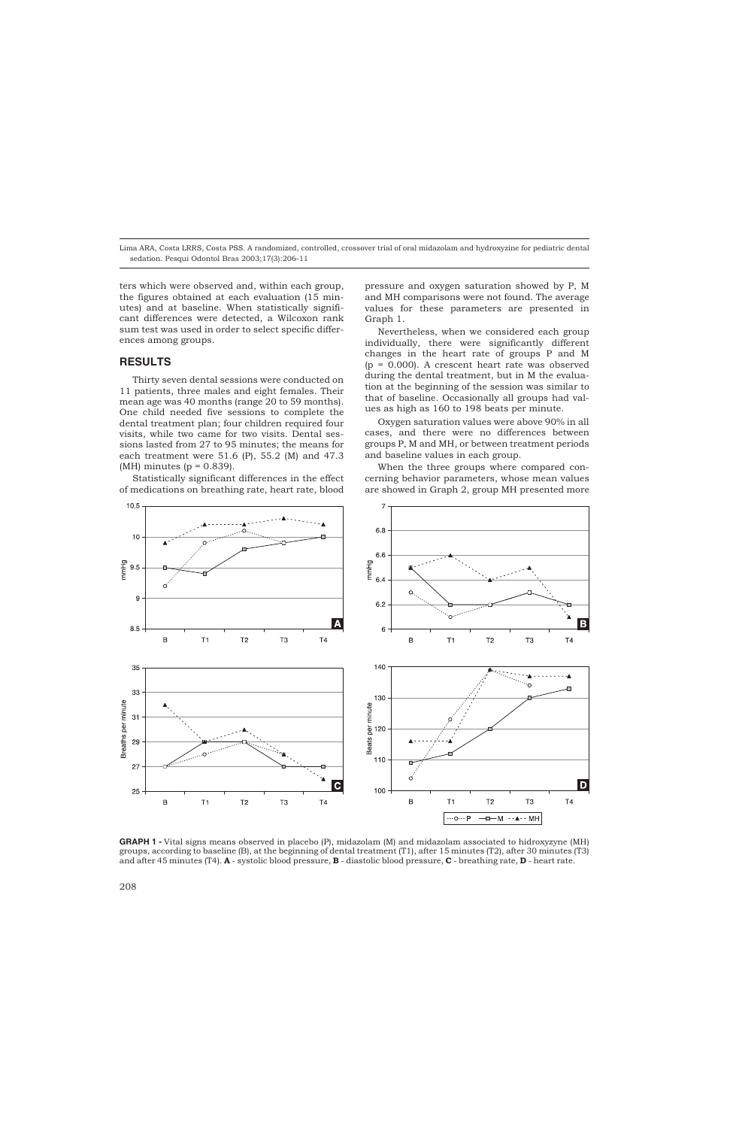ters which were observed and, within each group, the figures obtained at each evaluation (15 minutes) and at baseline. When statistically significant differences were detected, a Wilcoxon rank sum test was used in order to select specific differences among groups.

#### **RESULTS**

Thirty seven dental sessions were conducted on 11 patients, three males and eight females. Their mean age was 40 months (range 20 to 59 months). One child needed five sessions to complete the dental treatment plan; four children required four visits, while two came for two visits. Dental sessions lasted from 27 to 95 minutes; the means for each treatment were 51.6 (P), 55.2 (M) and 47.3  $(MH)$  minutes ( $p = 0.839$ ).

Statistically significant differences in the effect of medications on breathing rate, heart rate, blood

pressure and oxygen saturation showed by P, M and MH comparisons were not found. The average values for these parameters are presented in Graph 1.

Nevertheless, when we considered each group individually, there were significantly different changes in the heart rate of groups P and M  $(p = 0.000)$ . A crescent heart rate was observed during the dental treatment, but in M the evaluation at the beginning of the session was similar to that of baseline. Occasionally all groups had values as high as 160 to 198 beats per minute.

Oxygen saturation values were above 90% in all cases, and there were no differences between groups P, M and MH, or between treatment periods and baseline values in each group.

When the three groups where compared concerning behavior parameters, whose mean values are showed in Graph 2, group MH presented more



**GRAPH 1 -** Vital signs means observed in placebo (P), midazolam (M) and midazolam associated to hidroxyzyne (MH) groups, according to baseline (B), at the beginning of dental treatment (T1), after 15 minutes (T2), after 30 minutes (T3) and after 45 minutes (T4). **A** - systolic blood pressure, **B** - diastolic blood pressure, **C** - breathing rate, **D** - heart rate.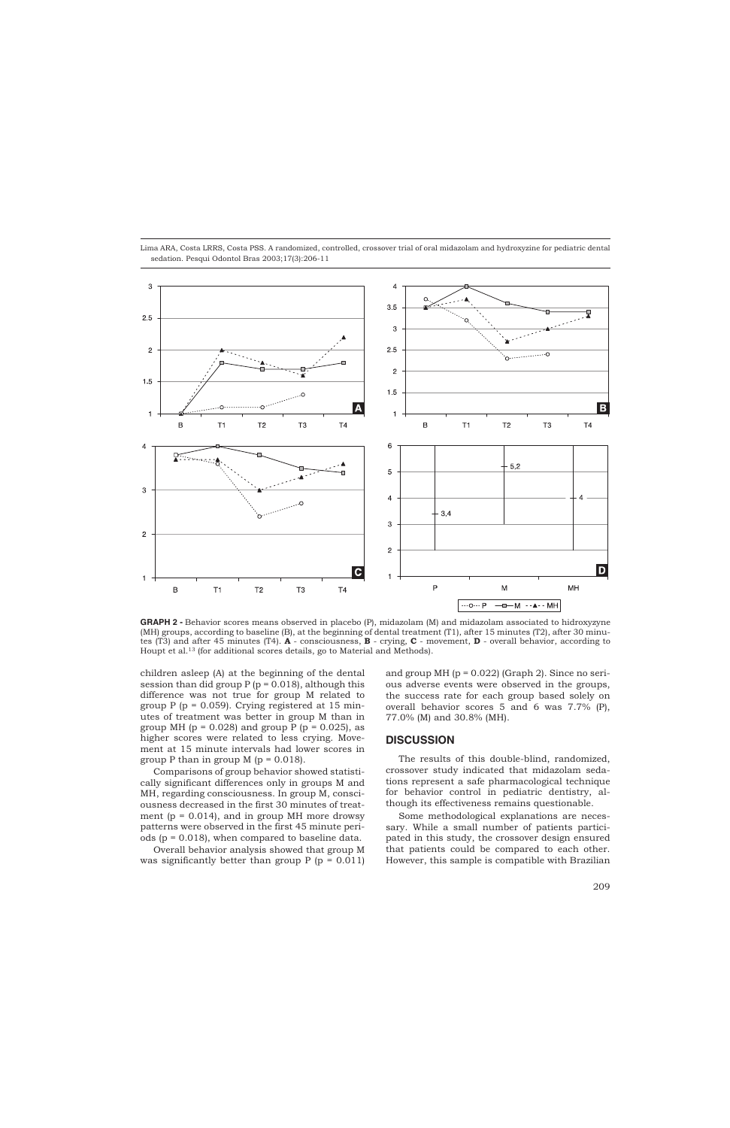

**GRAPH 2 -** Behavior scores means observed in placebo (P), midazolam (M) and midazolam associated to hidroxyzyne (MH) groups, according to baseline (B), at the beginning of dental treatment (T1), after 15 minutes (T2), after 30 minutes (T3) and after 45 minutes (T4). **A** - consciousness, **B** - crying, **C** - movement, **D** - overall behavior, according to Houpt et al.13 (for additional scores details, go to Material and Methods).

children asleep (A) at the beginning of the dental session than did group  $P(p = 0.018)$ , although this difference was not true for group M related to group  $P$  ( $p = 0.059$ ). Crying registered at 15 minutes of treatment was better in group M than in group MH ( $p = 0.028$ ) and group P ( $p = 0.025$ ), as higher scores were related to less crying. Movement at 15 minute intervals had lower scores in group P than in group M  $(p = 0.018)$ .

Comparisons of group behavior showed statistically significant differences only in groups M and MH, regarding consciousness. In group M, consciousness decreased in the first 30 minutes of treatment ( $p = 0.014$ ), and in group MH more drowsy patterns were observed in the first 45 minute periods (p = 0.018), when compared to baseline data.

Overall behavior analysis showed that group M was significantly better than group  $P$  ( $p = 0.011$ ) and group MH  $(p = 0.022)$  (Graph 2). Since no serious adverse events were observed in the groups, the success rate for each group based solely on overall behavior scores 5 and 6 was 7.7% (P), 77.0% (M) and 30.8% (MH).

#### **DISCUSSION**

The results of this double-blind, randomized, crossover study indicated that midazolam sedations represent a safe pharmacological technique for behavior control in pediatric dentistry, although its effectiveness remains questionable.

Some methodological explanations are necessary. While a small number of patients participated in this study, the crossover design ensured that patients could be compared to each other. However, this sample is compatible with Brazilian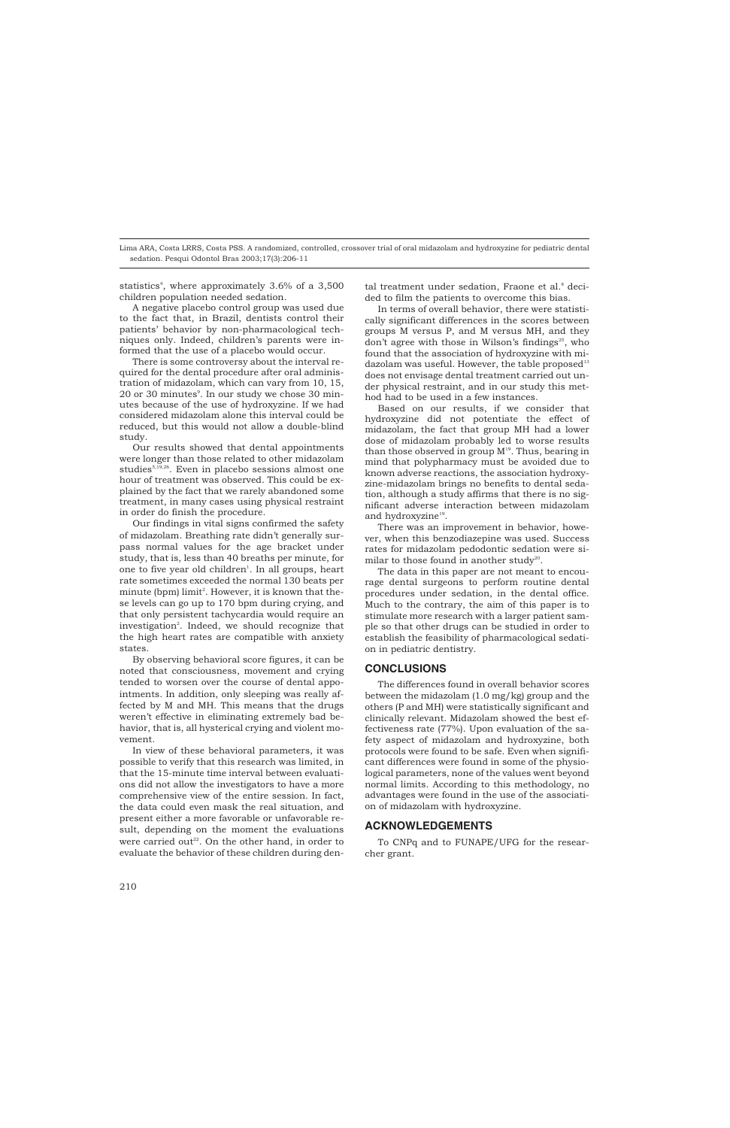statistics<sup>4</sup>, where approximately 3.6% of a 3,500 children population needed sedation.

A negative placebo control group was used due to the fact that, in Brazil, dentists control their patients' behavior by non-pharmacological techniques only. Indeed, children's parents were informed that the use of a placebo would occur.

There is some controversy about the interval required for the dental procedure after oral administration of midazolam, which can vary from 10, 15, 20 or 30 minutes $^{\circ}$ . In our study we chose 30 minutes because of the use of hydroxyzine. If we had considered midazolam alone this interval could be reduced, but this would not allow a double-blind study.

Our results showed that dental appointments were longer than those related to other midazolam studies<sup>5,19,26</sup>. Even in placebo sessions almost one hour of treatment was observed. This could be explained by the fact that we rarely abandoned some treatment, in many cases using physical restraint in order do finish the procedure.

Our findings in vital signs confirmed the safety of midazolam. Breathing rate didn't generally surpass normal values for the age bracket under study, that is, less than 40 breaths per minute, for one to five year old children $\cdot$ . In all groups, heart rate sometimes exceeded the normal 130 beats per minute (bpm)  $\text{limit}^2$ . However, it is known that these levels can go up to 170 bpm during crying, and that only persistent tachycardia would require an investigation<sup>2</sup>. Indeed, we should recognize that the high heart rates are compatible with anxiety states.

By observing behavioral score figures, it can be noted that consciousness, movement and crying tended to worsen over the course of dental appointments. In addition, only sleeping was really affected by M and MH. This means that the drugs weren't effective in eliminating extremely bad behavior, that is, all hysterical crying and violent movement.

In view of these behavioral parameters, it was possible to verify that this research was limited, in that the 15-minute time interval between evaluations did not allow the investigators to have a more comprehensive view of the entire session. In fact, the data could even mask the real situation, and present either a more favorable or unfavorable result, depending on the moment the evaluations were carried out<sup>22</sup>. On the other hand, in order to evaluate the behavior of these children during dental treatment under sedation, Fraone et al.<sup>8</sup> decided to film the patients to overcome this bias.

In terms of overall behavior, there were statistically significant differences in the scores between groups M versus P, and M versus MH, and they don't agree with those in Wilson's findings<sup>25</sup>, who found that the association of hydroxyzine with midazolam was useful. However, the table proposed<sup>13</sup> does not envisage dental treatment carried out under physical restraint, and in our study this method had to be used in a few instances.

Based on our results, if we consider that hydroxyzine did not potentiate the effect of midazolam, the fact that group MH had a lower dose of midazolam probably led to worse results than those observed in group  $M^{19}$ . Thus, bearing in mind that polypharmacy must be avoided due to known adverse reactions, the association hydroxyzine-midazolam brings no benefits to dental sedation, although a study affirms that there is no significant adverse interaction between midazolam and hydroxyzine<sup>19</sup>.

There was an improvement in behavior, however, when this benzodiazepine was used. Success rates for midazolam pedodontic sedation were similar to those found in another study<sup>20</sup>.

The data in this paper are not meant to encourage dental surgeons to perform routine dental procedures under sedation, in the dental office. Much to the contrary, the aim of this paper is to stimulate more research with a larger patient sample so that other drugs can be studied in order to establish the feasibility of pharmacological sedation in pediatric dentistry.

### **CONCLUSIONS**

The differences found in overall behavior scores between the midazolam (1.0 mg/kg) group and the others (P and MH) were statistically significant and clinically relevant. Midazolam showed the best effectiveness rate (77%). Upon evaluation of the safety aspect of midazolam and hydroxyzine, both protocols were found to be safe. Even when significant differences were found in some of the physiological parameters, none of the values went beyond normal limits. According to this methodology, no advantages were found in the use of the association of midazolam with hydroxyzine.

## **ACKNOWLEDGEMENTS**

To CNPq and to FUNAPE/UFG for the researcher grant.